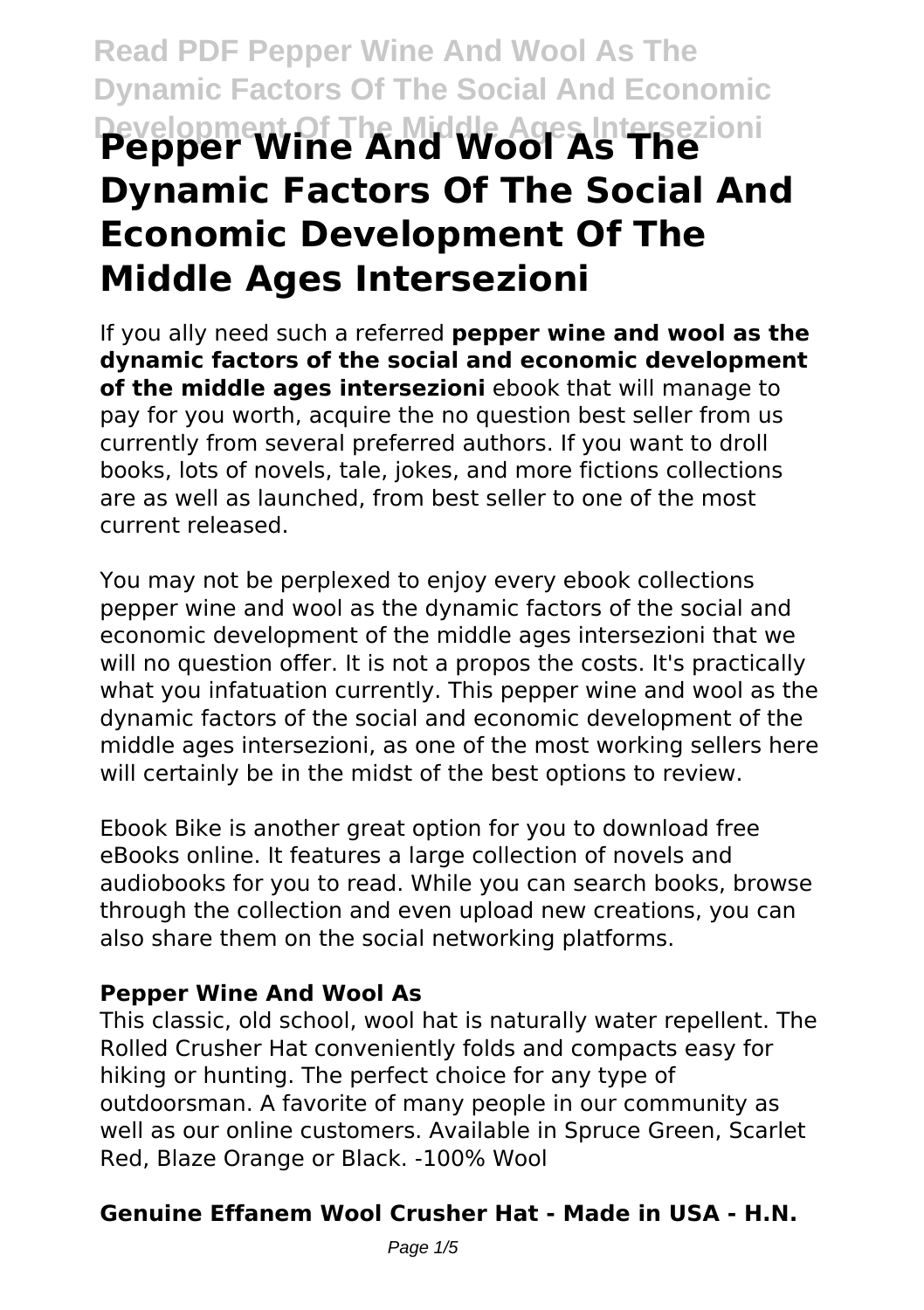# **Read PDF Pepper Wine And Wool As The Dynamic Factors Of The Social And Economic Development Of The Middle Ages Intersezioni Pepper Wine And Wool As The Dynamic Factors Of The Social And Economic Development Of The Middle Ages Intersezioni**

If you ally need such a referred **pepper wine and wool as the dynamic factors of the social and economic development of the middle ages intersezioni** ebook that will manage to pay for you worth, acquire the no question best seller from us currently from several preferred authors. If you want to droll books, lots of novels, tale, jokes, and more fictions collections are as well as launched, from best seller to one of the most current released.

You may not be perplexed to enjoy every ebook collections pepper wine and wool as the dynamic factors of the social and economic development of the middle ages intersezioni that we will no question offer. It is not a propos the costs. It's practically what you infatuation currently. This pepper wine and wool as the dynamic factors of the social and economic development of the middle ages intersezioni, as one of the most working sellers here will certainly be in the midst of the best options to review.

Ebook Bike is another great option for you to download free eBooks online. It features a large collection of novels and audiobooks for you to read. While you can search books, browse through the collection and even upload new creations, you can also share them on the social networking platforms.

#### **Pepper Wine And Wool As**

This classic, old school, wool hat is naturally water repellent. The Rolled Crusher Hat conveniently folds and compacts easy for hiking or hunting. The perfect choice for any type of outdoorsman. A favorite of many people in our community as well as our online customers. Available in Spruce Green, Scarlet Red, Blaze Orange or Black. -100% Wool

# **Genuine Effanem Wool Crusher Hat - Made in USA - H.N.**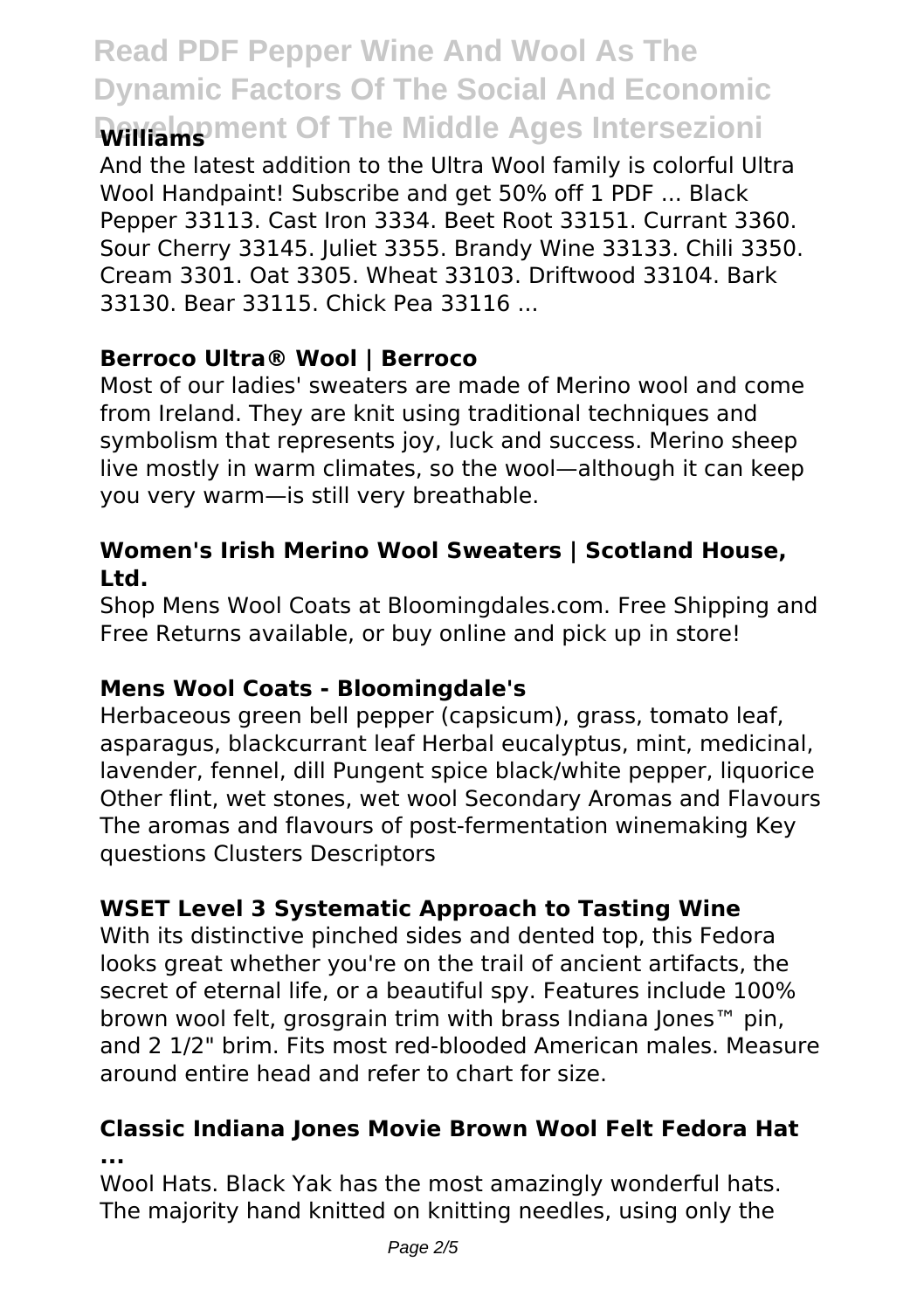# **Read PDF Pepper Wine And Wool As The Dynamic Factors Of The Social And Economic Development Of The Middle Ages Intersezioni**

And the latest addition to the Ultra Wool family is colorful Ultra Wool Handpaint! Subscribe and get 50% off 1 PDF ... Black Pepper 33113. Cast Iron 3334. Beet Root 33151. Currant 3360. Sour Cherry 33145. Juliet 3355. Brandy Wine 33133. Chili 3350. Cream 3301. Oat 3305. Wheat 33103. Driftwood 33104. Bark 33130. Bear 33115. Chick Pea 33116 ...

# **Berroco Ultra® Wool | Berroco**

Most of our ladies' sweaters are made of Merino wool and come from Ireland. They are knit using traditional techniques and symbolism that represents joy, luck and success. Merino sheep live mostly in warm climates, so the wool—although it can keep you very warm—is still very breathable.

#### **Women's Irish Merino Wool Sweaters | Scotland House, Ltd.**

Shop Mens Wool Coats at Bloomingdales.com. Free Shipping and Free Returns available, or buy online and pick up in store!

# **Mens Wool Coats - Bloomingdale's**

Herbaceous green bell pepper (capsicum), grass, tomato leaf, asparagus, blackcurrant leaf Herbal eucalyptus, mint, medicinal, lavender, fennel, dill Pungent spice black/white pepper, liquorice Other flint, wet stones, wet wool Secondary Aromas and Flavours The aromas and flavours of post-fermentation winemaking Key questions Clusters Descriptors

# **WSET Level 3 Systematic Approach to Tasting Wine**

With its distinctive pinched sides and dented top, this Fedora looks great whether you're on the trail of ancient artifacts, the secret of eternal life, or a beautiful spy. Features include 100% brown wool felt, grosgrain trim with brass Indiana Jones™ pin, and 2 1/2" brim. Fits most red-blooded American males. Measure around entire head and refer to chart for size.

#### **Classic Indiana Jones Movie Brown Wool Felt Fedora Hat ...**

Wool Hats. Black Yak has the most amazingly wonderful hats. The majority hand knitted on knitting needles, using only the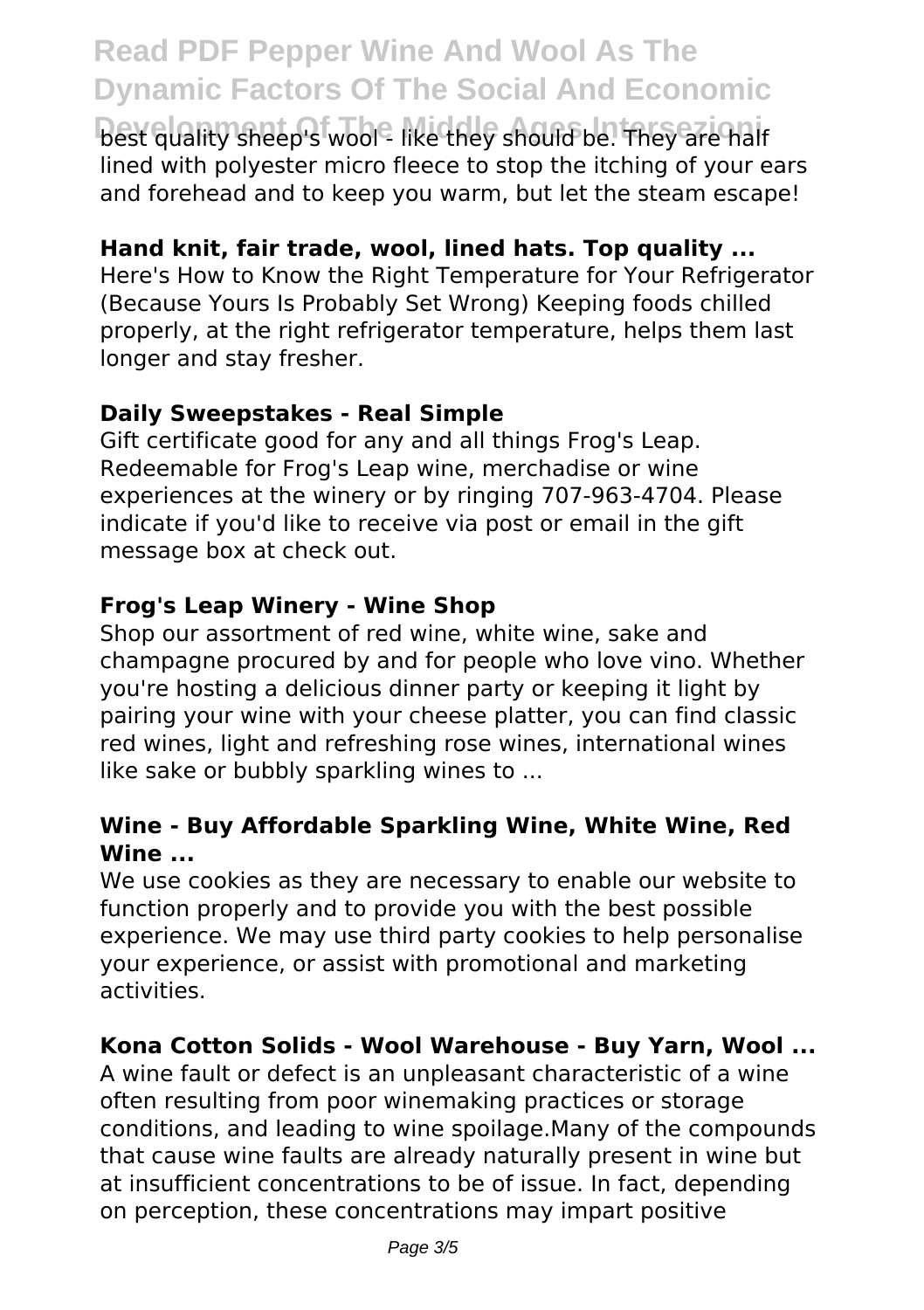# **Read PDF Pepper Wine And Wool As The Dynamic Factors Of The Social And Economic**

**best quality sheep's wool<sup>2</sup> like they should be. They are half** lined with polyester micro fleece to stop the itching of your ears and forehead and to keep you warm, but let the steam escape!

#### **Hand knit, fair trade, wool, lined hats. Top quality ...**

Here's How to Know the Right Temperature for Your Refrigerator (Because Yours Is Probably Set Wrong) Keeping foods chilled properly, at the right refrigerator temperature, helps them last longer and stay fresher.

#### **Daily Sweepstakes - Real Simple**

Gift certificate good for any and all things Frog's Leap. Redeemable for Frog's Leap wine, merchadise or wine experiences at the winery or by ringing 707-963-4704. Please indicate if you'd like to receive via post or email in the gift message box at check out.

#### **Frog's Leap Winery - Wine Shop**

Shop our assortment of red wine, white wine, sake and champagne procured by and for people who love vino. Whether you're hosting a delicious dinner party or keeping it light by pairing your wine with your cheese platter, you can find classic red wines, light and refreshing rose wines, international wines like sake or bubbly sparkling wines to ...

#### **Wine - Buy Affordable Sparkling Wine, White Wine, Red Wine ...**

We use cookies as they are necessary to enable our website to function properly and to provide you with the best possible experience. We may use third party cookies to help personalise your experience, or assist with promotional and marketing activities.

#### **Kona Cotton Solids - Wool Warehouse - Buy Yarn, Wool ...**

A wine fault or defect is an unpleasant characteristic of a wine often resulting from poor winemaking practices or storage conditions, and leading to wine spoilage.Many of the compounds that cause wine faults are already naturally present in wine but at insufficient concentrations to be of issue. In fact, depending on perception, these concentrations may impart positive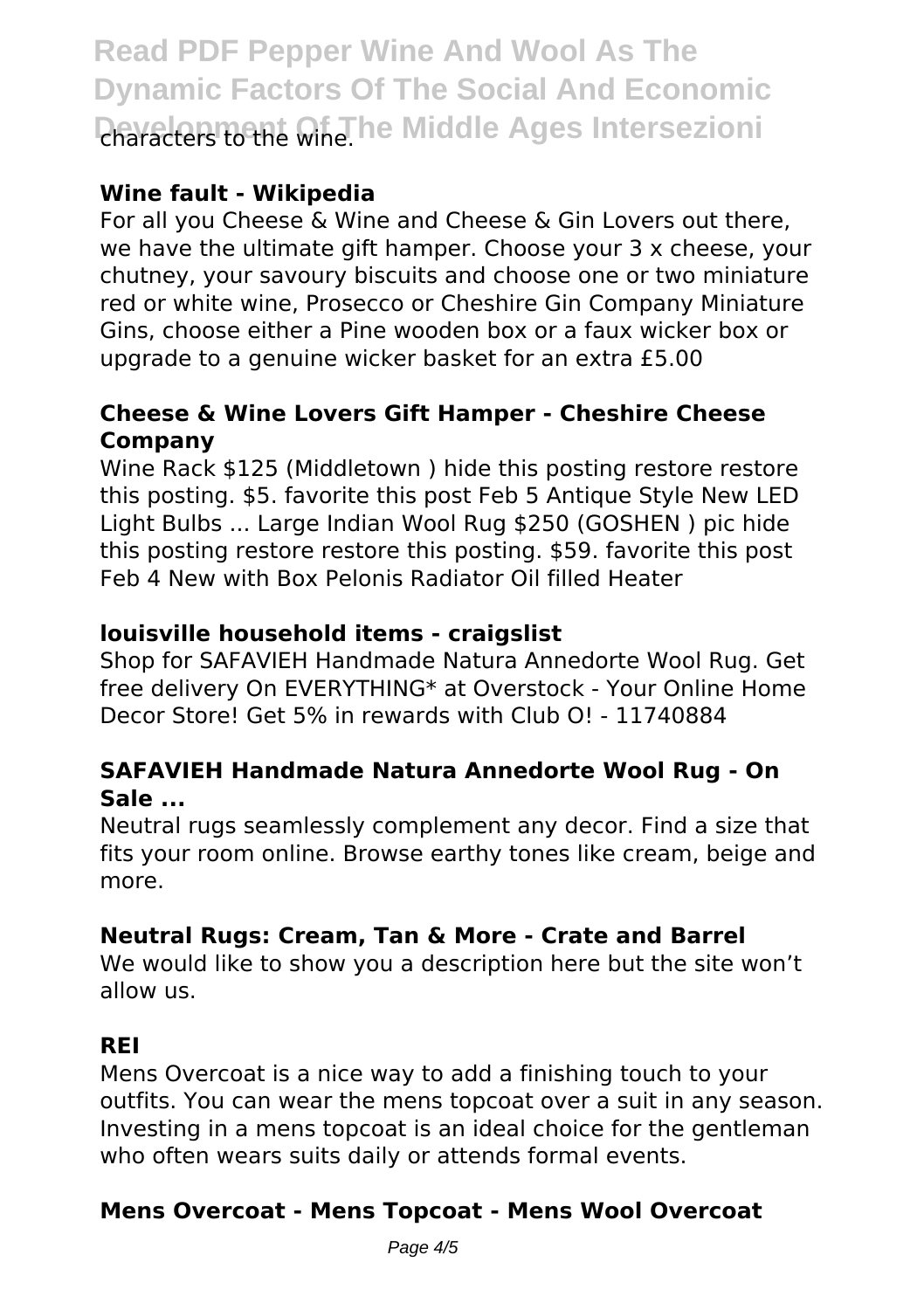**Read PDF Pepper Wine And Wool As The Dynamic Factors Of The Social And Economic Characters to the Wine. The Middle Ages Intersezioni** 

# **Wine fault - Wikipedia**

For all you Cheese & Wine and Cheese & Gin Lovers out there, we have the ultimate gift hamper. Choose your 3 x cheese, your chutney, your savoury biscuits and choose one or two miniature red or white wine, Prosecco or Cheshire Gin Company Miniature Gins, choose either a Pine wooden box or a faux wicker box or upgrade to a genuine wicker basket for an extra £5.00

#### **Cheese & Wine Lovers Gift Hamper - Cheshire Cheese Company**

Wine Rack \$125 (Middletown ) hide this posting restore restore this posting. \$5. favorite this post Feb 5 Antique Style New LED Light Bulbs ... Large Indian Wool Rug \$250 (GOSHEN ) pic hide this posting restore restore this posting. \$59. favorite this post Feb 4 New with Box Pelonis Radiator Oil filled Heater

# **louisville household items - craigslist**

Shop for SAFAVIEH Handmade Natura Annedorte Wool Rug. Get free delivery On EVERYTHING\* at Overstock - Your Online Home Decor Store! Get 5% in rewards with Club O! - 11740884

#### **SAFAVIEH Handmade Natura Annedorte Wool Rug - On Sale ...**

Neutral rugs seamlessly complement any decor. Find a size that fits your room online. Browse earthy tones like cream, beige and more.

# **Neutral Rugs: Cream, Tan & More - Crate and Barrel**

We would like to show you a description here but the site won't allow us.

# **REI**

Mens Overcoat is a nice way to add a finishing touch to your outfits. You can wear the mens topcoat over a suit in any season. Investing in a mens topcoat is an ideal choice for the gentleman who often wears suits daily or attends formal events.

# **Mens Overcoat - Mens Topcoat - Mens Wool Overcoat**